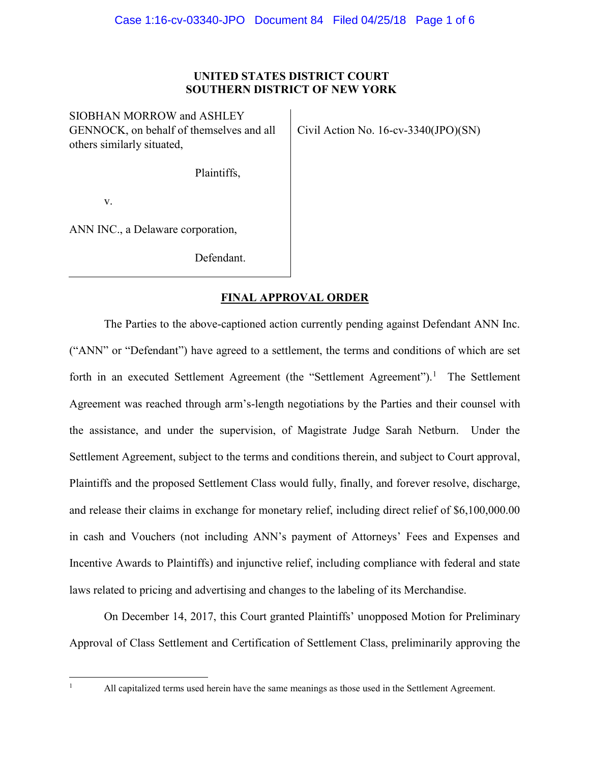### **UNITED STATES DISTRICT COURT SOUTHERN DISTRICT OF NEW YORK**

SIOBHAN MORROW and ASHLEY GENNOCK, on behalf of themselves and all others similarly situated,

Civil Action No. 16-cv-3340(JPO)(SN)

Plaintiffs,

v.

ANN INC., a Delaware corporation,

Defendant.

## **FINAL APPROVAL ORDER**

The Parties to the above-captioned action currently pending against Defendant ANN Inc. ("ANN" or "Defendant") have agreed to a settlement, the terms and conditions of which are set forth in an executed Settlement Agreement (the "Settlement Agreement").<sup>1</sup> The Settlement Agreement was reached through arm's-length negotiations by the Parties and their counsel with the assistance, and under the supervision, of Magistrate Judge Sarah Netburn. Under the Settlement Agreement, subject to the terms and conditions therein, and subject to Court approval, Plaintiffs and the proposed Settlement Class would fully, finally, and forever resolve, discharge, and release their claims in exchange for monetary relief, including direct relief of \$6,100,000.00 in cash and Vouchers (not including ANN's payment of Attorneys' Fees and Expenses and Incentive Awards to Plaintiffs) and injunctive relief, including compliance with federal and state laws related to pricing and advertising and changes to the labeling of its Merchandise.

On December 14, 2017, this Court granted Plaintiffs' unopposed Motion for Preliminary Approval of Class Settlement and Certification of Settlement Class, preliminarily approving the

 $\mathbf{1}$ 

<sup>1</sup> All capitalized terms used herein have the same meanings as those used in the Settlement Agreement.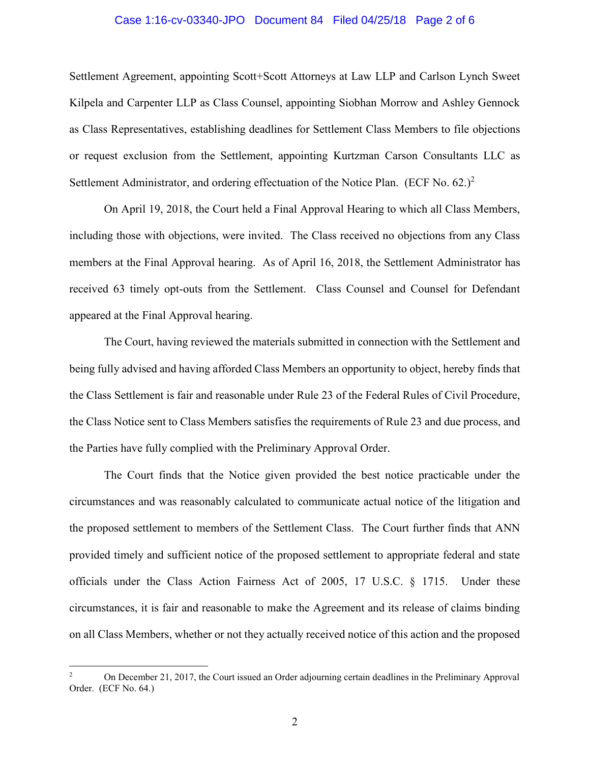#### Case 1:16-cv-03340-JPO Document 84 Filed 04/25/18 Page 2 of 6

Settlement Agreement, appointing Scott+Scott Attorneys at Law LLP and Carlson Lynch Sweet Kilpela and Carpenter LLP as Class Counsel, appointing Siobhan Morrow and Ashley Gennock as Class Representatives, establishing deadlines for Settlement Class Members to file objections or request exclusion from the Settlement, appointing Kurtzman Carson Consultants LLC as Settlement Administrator, and ordering effectuation of the Notice Plan. (ECF No.  $62$ .)<sup>2</sup>

On April 19, 2018, the Court held a Final Approval Hearing to which all Class Members, including those with objections, were invited. The Class received no objections from any Class members at the Final Approval hearing. As of April 16, 2018, the Settlement Administrator has received 63 timely opt-outs from the Settlement. Class Counsel and Counsel for Defendant appeared at the Final Approval hearing.

The Court, having reviewed the materials submitted in connection with the Settlement and being fully advised and having afforded Class Members an opportunity to object, hereby finds that the Class Settlement is fair and reasonable under Rule 23 of the Federal Rules of Civil Procedure, the Class Notice sent to Class Members satisfies the requirements of Rule 23 and due process, and the Parties have fully complied with the Preliminary Approval Order.

The Court finds that the Notice given provided the best notice practicable under the circumstances and was reasonably calculated to communicate actual notice of the litigation and the proposed settlement to members of the Settlement Class. The Court further finds that ANN provided timely and sufficient notice of the proposed settlement to appropriate federal and state officials under the Class Action Fairness Act of 2005, 17 U.S.C. § 1715. Under these circumstances, it is fair and reasonable to make the Agreement and its release of claims binding on all Class Members, whether or not they actually received notice of this action and the proposed

 $\overline{2}$ <sup>2</sup> On December 21, 2017, the Court issued an Order adjourning certain deadlines in the Preliminary Approval Order. (ECF No. 64.)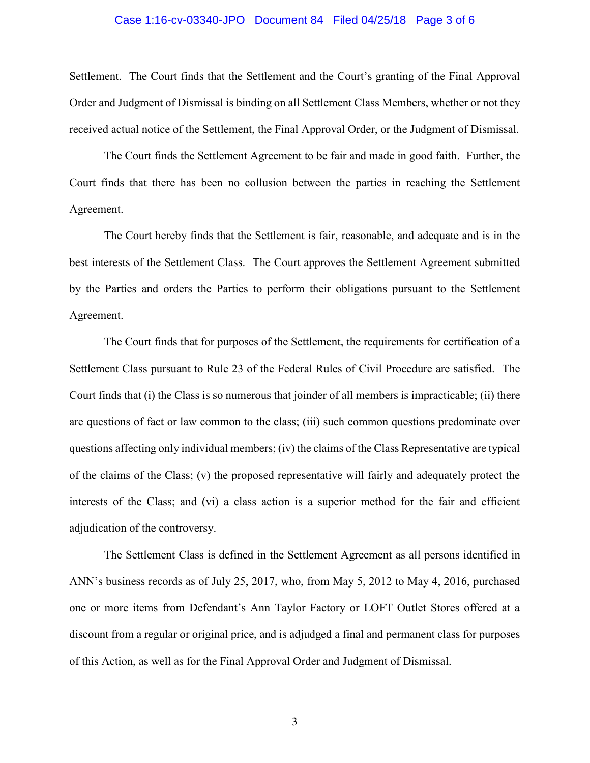#### Case 1:16-cv-03340-JPO Document 84 Filed 04/25/18 Page 3 of 6

Settlement. The Court finds that the Settlement and the Court's granting of the Final Approval Order and Judgment of Dismissal is binding on all Settlement Class Members, whether or not they received actual notice of the Settlement, the Final Approval Order, or the Judgment of Dismissal.

The Court finds the Settlement Agreement to be fair and made in good faith. Further, the Court finds that there has been no collusion between the parties in reaching the Settlement Agreement.

The Court hereby finds that the Settlement is fair, reasonable, and adequate and is in the best interests of the Settlement Class. The Court approves the Settlement Agreement submitted by the Parties and orders the Parties to perform their obligations pursuant to the Settlement Agreement.

The Court finds that for purposes of the Settlement, the requirements for certification of a Settlement Class pursuant to Rule 23 of the Federal Rules of Civil Procedure are satisfied. The Court finds that (i) the Class is so numerous that joinder of all members is impracticable; (ii) there are questions of fact or law common to the class; (iii) such common questions predominate over questions affecting only individual members; (iv) the claims of the Class Representative are typical of the claims of the Class; (v) the proposed representative will fairly and adequately protect the interests of the Class; and (vi) a class action is a superior method for the fair and efficient adjudication of the controversy.

The Settlement Class is defined in the Settlement Agreement as all persons identified in ANN's business records as of July 25, 2017, who, from May 5, 2012 to May 4, 2016, purchased one or more items from Defendant's Ann Taylor Factory or LOFT Outlet Stores offered at a discount from a regular or original price, and is adjudged a final and permanent class for purposes of this Action, as well as for the Final Approval Order and Judgment of Dismissal.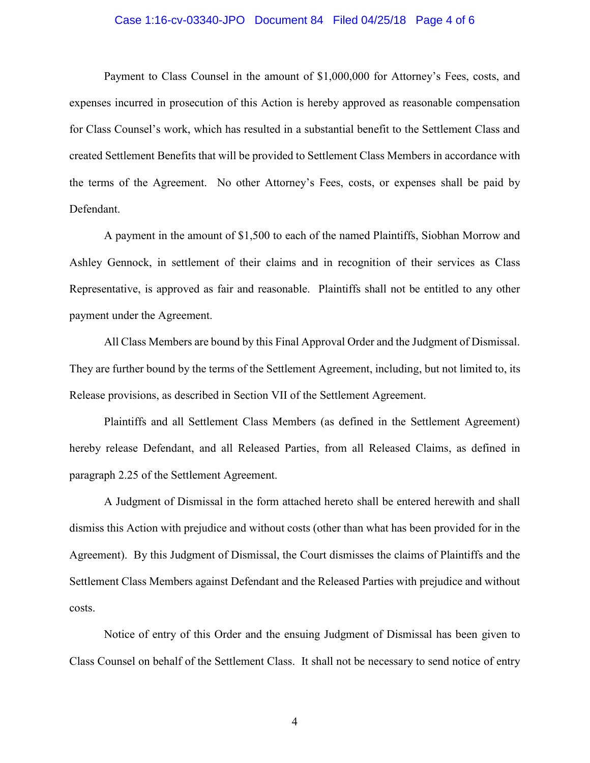#### Case 1:16-cv-03340-JPO Document 84 Filed 04/25/18 Page 4 of 6

Payment to Class Counsel in the amount of \$1,000,000 for Attorney's Fees, costs, and expenses incurred in prosecution of this Action is hereby approved as reasonable compensation for Class Counsel's work, which has resulted in a substantial benefit to the Settlement Class and created Settlement Benefits that will be provided to Settlement Class Members in accordance with the terms of the Agreement. No other Attorney's Fees, costs, or expenses shall be paid by Defendant.

A payment in the amount of \$1,500 to each of the named Plaintiffs, Siobhan Morrow and Ashley Gennock, in settlement of their claims and in recognition of their services as Class Representative, is approved as fair and reasonable. Plaintiffs shall not be entitled to any other payment under the Agreement.

All Class Members are bound by this Final Approval Order and the Judgment of Dismissal. They are further bound by the terms of the Settlement Agreement, including, but not limited to, its Release provisions, as described in Section VII of the Settlement Agreement.

Plaintiffs and all Settlement Class Members (as defined in the Settlement Agreement) hereby release Defendant, and all Released Parties, from all Released Claims, as defined in paragraph 2.25 of the Settlement Agreement.

A Judgment of Dismissal in the form attached hereto shall be entered herewith and shall dismiss this Action with prejudice and without costs (other than what has been provided for in the Agreement). By this Judgment of Dismissal, the Court dismisses the claims of Plaintiffs and the Settlement Class Members against Defendant and the Released Parties with prejudice and without costs.

Notice of entry of this Order and the ensuing Judgment of Dismissal has been given to Class Counsel on behalf of the Settlement Class. It shall not be necessary to send notice of entry

4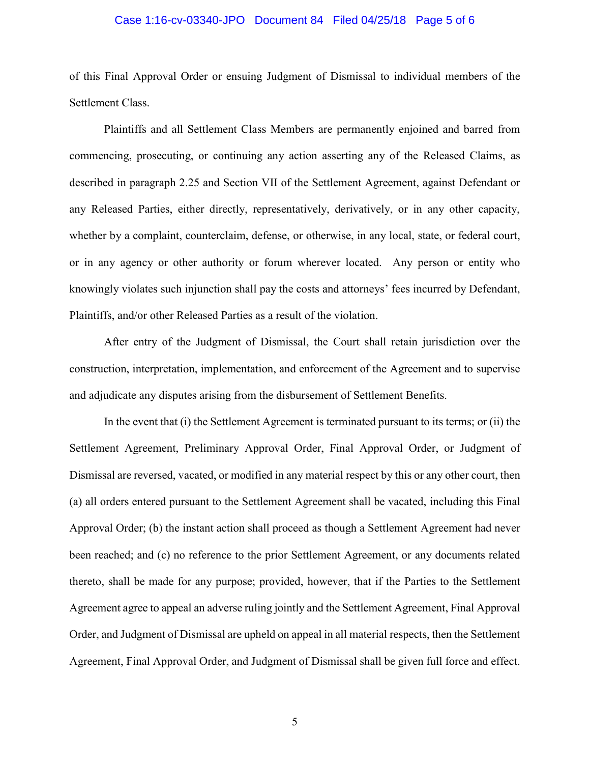#### Case 1:16-cv-03340-JPO Document 84 Filed 04/25/18 Page 5 of 6

of this Final Approval Order or ensuing Judgment of Dismissal to individual members of the Settlement Class.

Plaintiffs and all Settlement Class Members are permanently enjoined and barred from commencing, prosecuting, or continuing any action asserting any of the Released Claims, as described in paragraph 2.25 and Section VII of the Settlement Agreement, against Defendant or any Released Parties, either directly, representatively, derivatively, or in any other capacity, whether by a complaint, counterclaim, defense, or otherwise, in any local, state, or federal court, or in any agency or other authority or forum wherever located. Any person or entity who knowingly violates such injunction shall pay the costs and attorneys' fees incurred by Defendant, Plaintiffs, and/or other Released Parties as a result of the violation.

After entry of the Judgment of Dismissal, the Court shall retain jurisdiction over the construction, interpretation, implementation, and enforcement of the Agreement and to supervise and adjudicate any disputes arising from the disbursement of Settlement Benefits.

In the event that (i) the Settlement Agreement is terminated pursuant to its terms; or (ii) the Settlement Agreement, Preliminary Approval Order, Final Approval Order, or Judgment of Dismissal are reversed, vacated, or modified in any material respect by this or any other court, then (a) all orders entered pursuant to the Settlement Agreement shall be vacated, including this Final Approval Order; (b) the instant action shall proceed as though a Settlement Agreement had never been reached; and (c) no reference to the prior Settlement Agreement, or any documents related thereto, shall be made for any purpose; provided, however, that if the Parties to the Settlement Agreement agree to appeal an adverse ruling jointly and the Settlement Agreement, Final Approval Order, and Judgment of Dismissal are upheld on appeal in all material respects, then the Settlement Agreement, Final Approval Order, and Judgment of Dismissal shall be given full force and effect.